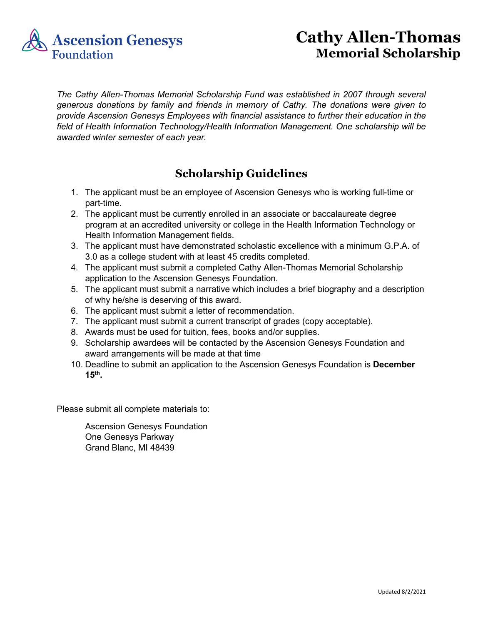

## **Cathy Allen-Thomas Memorial Scholarship**

*The Cathy Allen-Thomas Memorial Scholarship Fund was established in 2007 through several generous donations by family and friends in memory of Cathy. The donations were given to provide Ascension Genesys Employees with financial assistance to further their education in the field of Health Information Technology/Health Information Management. One scholarship will be awarded winter semester of each year.*

## **Scholarship Guidelines**

- 1. The applicant must be an employee of Ascension Genesys who is working full-time or part-time.
- 2. The applicant must be currently enrolled in an associate or baccalaureate degree program at an accredited university or college in the Health Information Technology or Health Information Management fields.
- 3. The applicant must have demonstrated scholastic excellence with a minimum G.P.A. of 3.0 as a college student with at least 45 credits completed.
- 4. The applicant must submit a completed Cathy Allen-Thomas Memorial Scholarship application to the Ascension Genesys Foundation.
- 5. The applicant must submit a narrative which includes a brief biography and a description of why he/she is deserving of this award.
- 6. The applicant must submit a letter of recommendation.
- 7. The applicant must submit a current transcript of grades (copy acceptable).
- 8. Awards must be used for tuition, fees, books and/or supplies.
- 9. Scholarship awardees will be contacted by the Ascension Genesys Foundation and award arrangements will be made at that time
- 10. Deadline to submit an application to the Ascension Genesys Foundation is **December 15th.**

Please submit all complete materials to:

Ascension Genesys Foundation One Genesys Parkway Grand Blanc, MI 48439